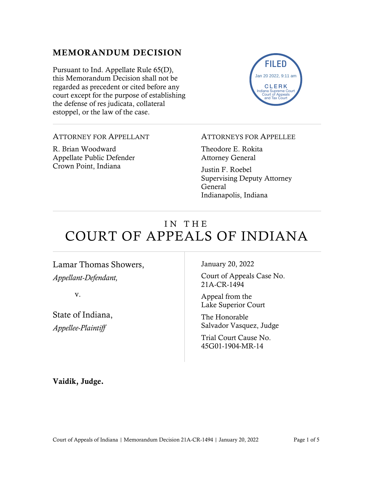### MEMORANDUM DECISION

Pursuant to Ind. Appellate Rule 65(D), this Memorandum Decision shall not be regarded as precedent or cited before any court except for the purpose of establishing the defense of res judicata, collateral estoppel, or the law of the case.



#### ATTORNEY FOR APPELLANT

R. Brian Woodward Appellate Public Defender Crown Point, Indiana

#### ATTORNEYS FOR APPELLEE

Theodore E. Rokita Attorney General

Justin F. Roebel Supervising Deputy Attorney General Indianapolis, Indiana

# IN THE COURT OF APPEALS OF INDIANA

Lamar Thomas Showers, *Appellant-Defendant,*

v.

State of Indiana, *Appellee-Plaintiff*

January 20, 2022

Court of Appeals Case No. 21A-CR-1494

Appeal from the Lake Superior Court

The Honorable Salvador Vasquez, Judge

Trial Court Cause No. 45G01-1904-MR-14

Vaidik, Judge.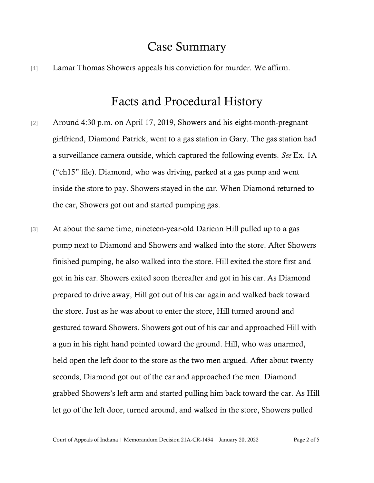## Case Summary

[1] Lamar Thomas Showers appeals his conviction for murder. We affirm.

### Facts and Procedural History

- [2] Around 4:30 p.m. on April 17, 2019, Showers and his eight-month-pregnant girlfriend, Diamond Patrick, went to a gas station in Gary. The gas station had a surveillance camera outside, which captured the following events. *See* Ex. 1A ("ch15" file). Diamond, who was driving, parked at a gas pump and went inside the store to pay. Showers stayed in the car. When Diamond returned to the car, Showers got out and started pumping gas.
- [3] At about the same time, nineteen-year-old Darienn Hill pulled up to a gas pump next to Diamond and Showers and walked into the store. After Showers finished pumping, he also walked into the store. Hill exited the store first and got in his car. Showers exited soon thereafter and got in his car. As Diamond prepared to drive away, Hill got out of his car again and walked back toward the store. Just as he was about to enter the store, Hill turned around and gestured toward Showers. Showers got out of his car and approached Hill with a gun in his right hand pointed toward the ground. Hill, who was unarmed, held open the left door to the store as the two men argued. After about twenty seconds, Diamond got out of the car and approached the men. Diamond grabbed Showers's left arm and started pulling him back toward the car. As Hill let go of the left door, turned around, and walked in the store, Showers pulled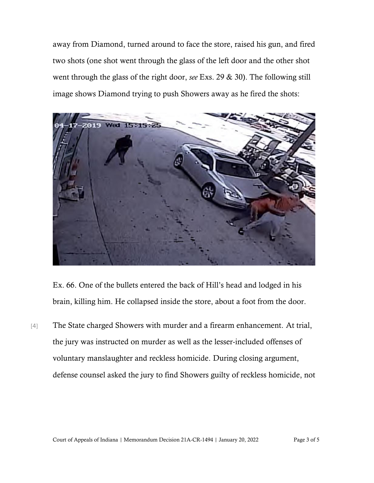away from Diamond, turned around to face the store, raised his gun, and fired two shots (one shot went through the glass of the left door and the other shot went through the glass of the right door, *see* Exs. 29 & 30). The following still image shows Diamond trying to push Showers away as he fired the shots:



Ex. 66. One of the bullets entered the back of Hill's head and lodged in his brain, killing him. He collapsed inside the store, about a foot from the door.

[4] The State charged Showers with murder and a firearm enhancement. At trial, the jury was instructed on murder as well as the lesser-included offenses of voluntary manslaughter and reckless homicide. During closing argument, defense counsel asked the jury to find Showers guilty of reckless homicide, not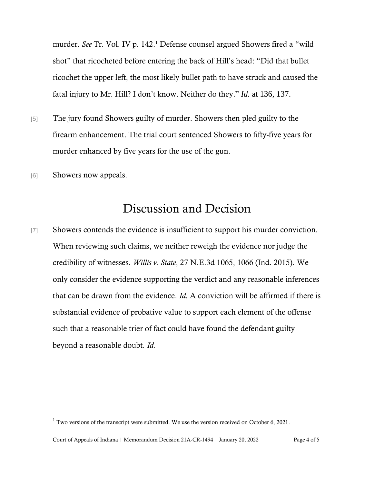murder. *See* Tr. Vol. IV p. 142.<sup>1</sup> Defense counsel argued Showers fired a "wild shot" that ricocheted before entering the back of Hill's head: "Did that bullet ricochet the upper left, the most likely bullet path to have struck and caused the fatal injury to Mr. Hill? I don't know. Neither do they." *Id.* at 136, 137.

- [5] The jury found Showers guilty of murder. Showers then pled guilty to the firearm enhancement. The trial court sentenced Showers to fifty-five years for murder enhanced by five years for the use of the gun.
- [6] Showers now appeals.

# Discussion and Decision

[7] Showers contends the evidence is insufficient to support his murder conviction. When reviewing such claims, we neither reweigh the evidence nor judge the credibility of witnesses. *Willis v. State*, 27 N.E.3d 1065, 1066 (Ind. 2015). We only consider the evidence supporting the verdict and any reasonable inferences that can be drawn from the evidence. *Id.* A conviction will be affirmed if there is substantial evidence of probative value to support each element of the offense such that a reasonable trier of fact could have found the defendant guilty beyond a reasonable doubt. *Id.*

 $1$  Two versions of the transcript were submitted. We use the version received on October 6, 2021.

Court of Appeals of Indiana | Memorandum Decision 21A-CR-1494 | January 20, 2022 Page 4 of 5